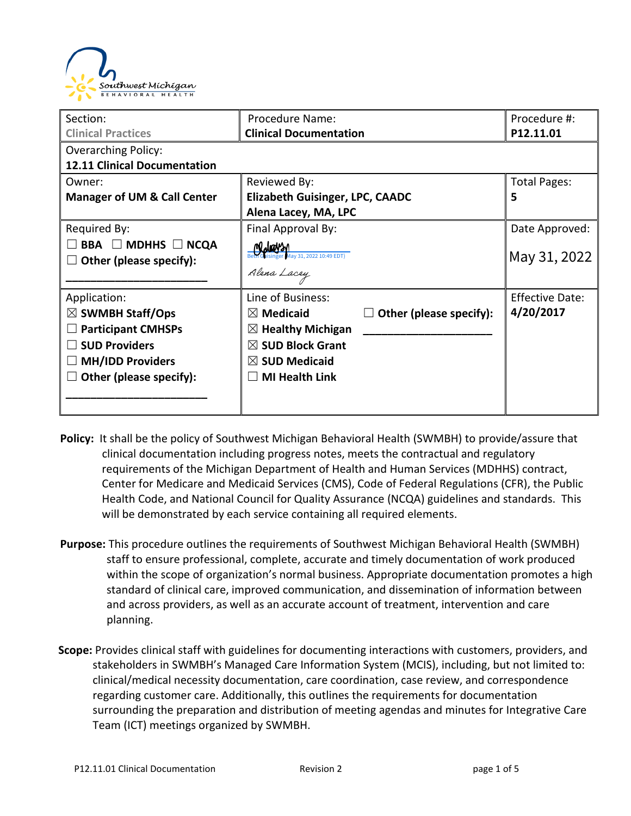

| Section:                               | Procedure Name:                                        | Procedure #:           |
|----------------------------------------|--------------------------------------------------------|------------------------|
| <b>Clinical Practices</b>              | <b>Clinical Documentation</b>                          | P12.11.01              |
| <b>Overarching Policy:</b>             |                                                        |                        |
| <b>12.11 Clinical Documentation</b>    |                                                        |                        |
| Owner:                                 | Reviewed By:                                           | <b>Total Pages:</b>    |
| <b>Manager of UM &amp; Call Center</b> | <b>Elizabeth Guisinger, LPC, CAADC</b>                 | 5                      |
|                                        | Alena Lacey, MA, LPC                                   |                        |
| Required By:                           | Final Approval By:                                     | Date Approved:         |
| <b>BBA</b> □ MDHHS □ NCQA              | <u>(Waysn</u>                                          |                        |
| Other (please specify):                | zer May 31, 2022 10:49 EDT)                            | May 31, 2022           |
|                                        | Alena Lacey                                            |                        |
| Application:                           | Line of Business:                                      | <b>Effective Date:</b> |
| $\boxtimes$ SWMBH Staff/Ops            | $\boxtimes$ Medicaid<br>$\Box$ Other (please specify): | 4/20/2017              |
| <b>Participant CMHSPs</b>              | $\boxtimes$ Healthy Michigan                           |                        |
| <b>SUD Providers</b>                   | $\boxtimes$ SUD Block Grant                            |                        |
| <b>MH/IDD Providers</b>                | $\boxtimes$ SUD Medicaid                               |                        |
| Other (please specify):                | <b>MI Health Link</b>                                  |                        |
|                                        |                                                        |                        |
|                                        |                                                        |                        |

- **Policy:** It shall be the policy of Southwest Michigan Behavioral Health (SWMBH) to provide/assure that clinical documentation including progress notes, meets the contractual and regulatory requirements of the Michigan Department of Health and Human Services (MDHHS) contract, Center for Medicare and Medicaid Services (CMS), Code of Federal Regulations (CFR), the Public Health Code, and National Council for Quality Assurance (NCQA) guidelines and standards. This will be demonstrated by each service containing all required elements.
- **Purpose:** This procedure outlines the requirements of Southwest Michigan Behavioral Health (SWMBH) staff to ensure professional, complete, accurate and timely documentation of work produced within the scope of organization's normal business. Appropriate documentation promotes a high standard of clinical care, improved communication, and dissemination of information between and across providers, as well as an accurate account of treatment, intervention and care planning.
- **Scope:** Provides clinical staff with guidelines for documenting interactions with customers, providers, and stakeholders in SWMBH's Managed Care Information System (MCIS), including, but not limited to: clinical/medical necessity documentation, care coordination, case review, and correspondence regarding customer care. Additionally, this outlines the requirements for documentation surrounding the preparation and distribution of meeting agendas and minutes for Integrative Care Team (ICT) meetings organized by SWMBH.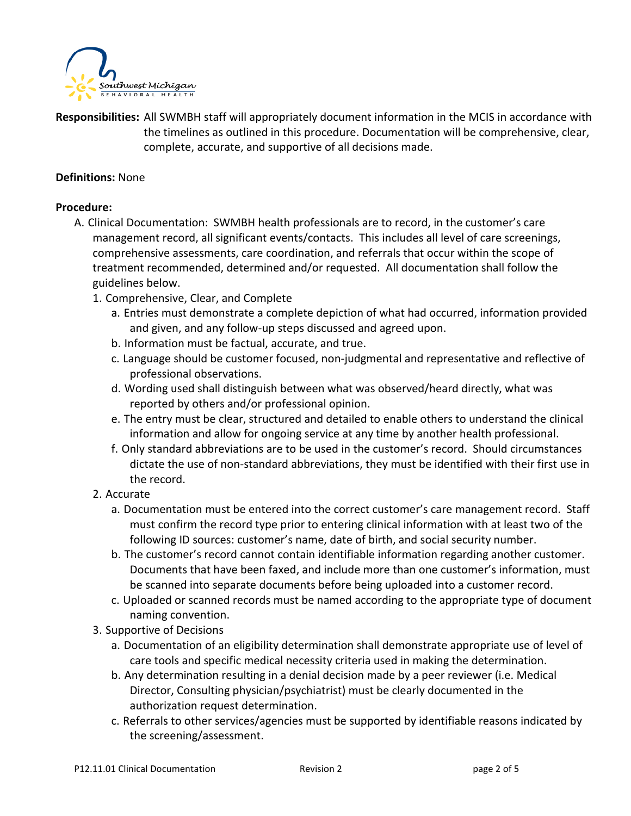

**Responsibilities:** All SWMBH staff will appropriately document information in the MCIS in accordance with the timelines as outlined in this procedure. Documentation will be comprehensive, clear, complete, accurate, and supportive of all decisions made.

### **Definitions:** None

#### **Procedure:**

- A. Clinical Documentation: SWMBH health professionals are to record, in the customer's care management record, all significant events/contacts. This includes all level of care screenings, comprehensive assessments, care coordination, and referrals that occur within the scope of treatment recommended, determined and/or requested. All documentation shall follow the guidelines below.
	- 1. Comprehensive, Clear, and Complete
		- a. Entries must demonstrate a complete depiction of what had occurred, information provided and given, and any follow-up steps discussed and agreed upon.
		- b. Information must be factual, accurate, and true.
		- c. Language should be customer focused, non-judgmental and representative and reflective of professional observations.
		- d. Wording used shall distinguish between what was observed/heard directly, what was reported by others and/or professional opinion.
		- e. The entry must be clear, structured and detailed to enable others to understand the clinical information and allow for ongoing service at any time by another health professional.
		- f. Only standard abbreviations are to be used in the customer's record. Should circumstances dictate the use of non-standard abbreviations, they must be identified with their first use in the record.

## 2. Accurate

- a. Documentation must be entered into the correct customer's care management record. Staff must confirm the record type prior to entering clinical information with at least two of the following ID sources: customer's name, date of birth, and social security number.
- b. The customer's record cannot contain identifiable information regarding another customer. Documents that have been faxed, and include more than one customer's information, must be scanned into separate documents before being uploaded into a customer record.
- c. Uploaded or scanned records must be named according to the appropriate type of document naming convention.
- 3. Supportive of Decisions
	- a. Documentation of an eligibility determination shall demonstrate appropriate use of level of care tools and specific medical necessity criteria used in making the determination.
	- b. Any determination resulting in a denial decision made by a peer reviewer (i.e. Medical Director, Consulting physician/psychiatrist) must be clearly documented in the authorization request determination.
	- c. Referrals to other services/agencies must be supported by identifiable reasons indicated by the screening/assessment.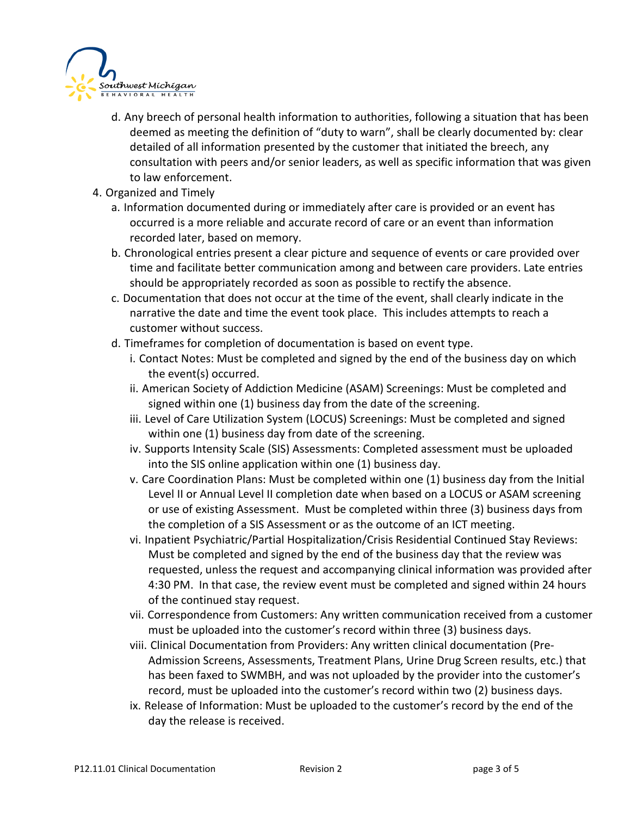

- d. Any breech of personal health information to authorities, following a situation that has been deemed as meeting the definition of "duty to warn", shall be clearly documented by: clear detailed of all information presented by the customer that initiated the breech, any consultation with peers and/or senior leaders, as well as specific information that was given to law enforcement.
- 4. Organized and Timely
	- a. Information documented during or immediately after care is provided or an event has occurred is a more reliable and accurate record of care or an event than information recorded later, based on memory.
	- b. Chronological entries present a clear picture and sequence of events or care provided over time and facilitate better communication among and between care providers. Late entries should be appropriately recorded as soon as possible to rectify the absence.
	- c. Documentation that does not occur at the time of the event, shall clearly indicate in the narrative the date and time the event took place. This includes attempts to reach a customer without success.
	- d. Timeframes for completion of documentation is based on event type.
		- i. Contact Notes: Must be completed and signed by the end of the business day on which the event(s) occurred.
		- ii. American Society of Addiction Medicine (ASAM) Screenings: Must be completed and signed within one (1) business day from the date of the screening.
		- iii. Level of Care Utilization System (LOCUS) Screenings: Must be completed and signed within one (1) business day from date of the screening.
		- iv. Supports Intensity Scale (SIS) Assessments: Completed assessment must be uploaded into the SIS online application within one (1) business day.
		- v. Care Coordination Plans: Must be completed within one (1) business day from the Initial Level II or Annual Level II completion date when based on a LOCUS or ASAM screening or use of existing Assessment. Must be completed within three (3) business days from the completion of a SIS Assessment or as the outcome of an ICT meeting.
		- vi. Inpatient Psychiatric/Partial Hospitalization/Crisis Residential Continued Stay Reviews: Must be completed and signed by the end of the business day that the review was requested, unless the request and accompanying clinical information was provided after 4:30 PM. In that case, the review event must be completed and signed within 24 hours of the continued stay request.
		- vii. Correspondence from Customers: Any written communication received from a customer must be uploaded into the customer's record within three (3) business days.
		- viii. Clinical Documentation from Providers: Any written clinical documentation (Pre-Admission Screens, Assessments, Treatment Plans, Urine Drug Screen results, etc.) that has been faxed to SWMBH, and was not uploaded by the provider into the customer's record, must be uploaded into the customer's record within two (2) business days.
		- ix. Release of Information: Must be uploaded to the customer's record by the end of the day the release is received.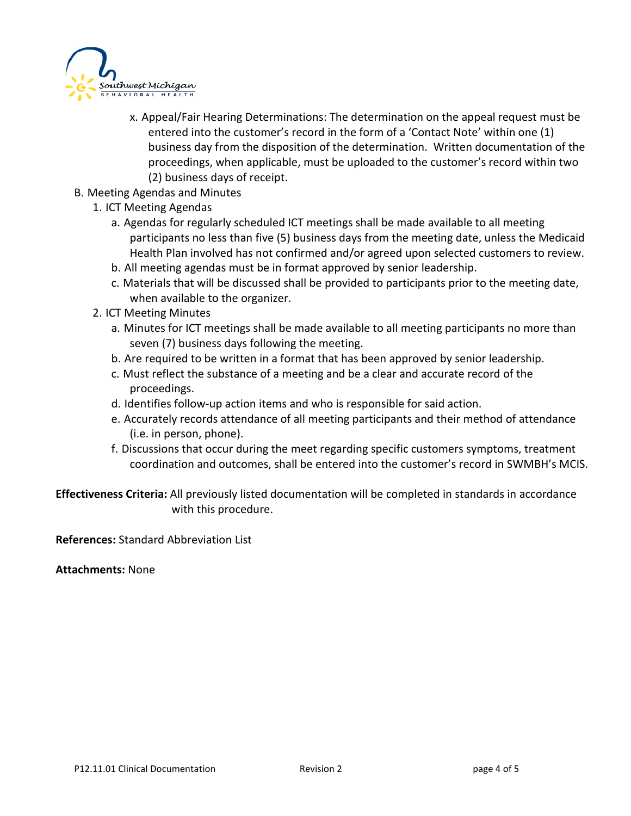

- x. Appeal/Fair Hearing Determinations: The determination on the appeal request must be entered into the customer's record in the form of a 'Contact Note' within one (1) business day from the disposition of the determination. Written documentation of the proceedings, when applicable, must be uploaded to the customer's record within two (2) business days of receipt.
- B. Meeting Agendas and Minutes
	- 1. ICT Meeting Agendas
		- a. Agendas for regularly scheduled ICT meetings shall be made available to all meeting participants no less than five (5) business days from the meeting date, unless the Medicaid Health Plan involved has not confirmed and/or agreed upon selected customers to review.
		- b. All meeting agendas must be in format approved by senior leadership.
		- c. Materials that will be discussed shall be provided to participants prior to the meeting date, when available to the organizer.
	- 2. ICT Meeting Minutes
		- a. Minutes for ICT meetings shall be made available to all meeting participants no more than seven (7) business days following the meeting.
		- b. Are required to be written in a format that has been approved by senior leadership.
		- c. Must reflect the substance of a meeting and be a clear and accurate record of the proceedings.
		- d. Identifies follow-up action items and who is responsible for said action.
		- e. Accurately records attendance of all meeting participants and their method of attendance (i.e. in person, phone).
		- f. Discussions that occur during the meet regarding specific customers symptoms, treatment coordination and outcomes, shall be entered into the customer's record in SWMBH's MCIS.

**Effectiveness Criteria:** All previously listed documentation will be completed in standards in accordance with this procedure.

**References:** Standard Abbreviation List

**Attachments:** None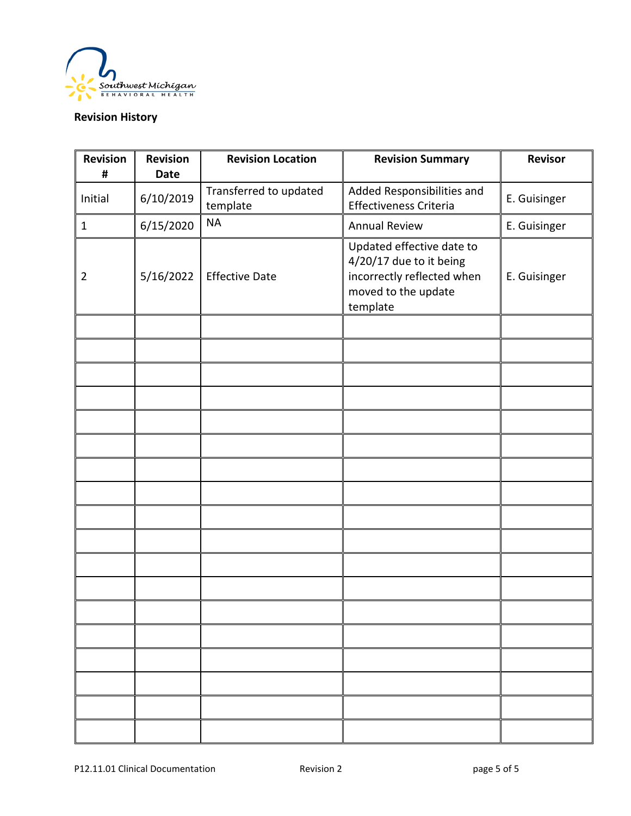

# **Revision History**

| <b>Revision</b><br># | <b>Revision</b><br><b>Date</b> | <b>Revision Location</b>           | <b>Revision Summary</b>                                                                                               | <b>Revisor</b> |
|----------------------|--------------------------------|------------------------------------|-----------------------------------------------------------------------------------------------------------------------|----------------|
| Initial              | 6/10/2019                      | Transferred to updated<br>template | Added Responsibilities and<br>Effectiveness Criteria                                                                  | E. Guisinger   |
| $\mathbf{1}$         | 6/15/2020                      | <b>NA</b>                          | <b>Annual Review</b>                                                                                                  | E. Guisinger   |
| $\overline{2}$       | 5/16/2022                      | <b>Effective Date</b>              | Updated effective date to<br>4/20/17 due to it being<br>incorrectly reflected when<br>moved to the update<br>template | E. Guisinger   |
|                      |                                |                                    |                                                                                                                       |                |
|                      |                                |                                    |                                                                                                                       |                |
|                      |                                |                                    |                                                                                                                       |                |
|                      |                                |                                    |                                                                                                                       |                |
|                      |                                |                                    |                                                                                                                       |                |
|                      |                                |                                    |                                                                                                                       |                |
|                      |                                |                                    |                                                                                                                       |                |
|                      |                                |                                    |                                                                                                                       |                |
|                      |                                |                                    |                                                                                                                       |                |
|                      |                                |                                    |                                                                                                                       |                |
|                      |                                |                                    |                                                                                                                       |                |
|                      |                                |                                    |                                                                                                                       |                |
|                      |                                |                                    |                                                                                                                       |                |
|                      |                                |                                    |                                                                                                                       |                |
|                      |                                |                                    |                                                                                                                       |                |
|                      |                                |                                    |                                                                                                                       |                |
|                      |                                |                                    |                                                                                                                       |                |
|                      |                                |                                    |                                                                                                                       |                |